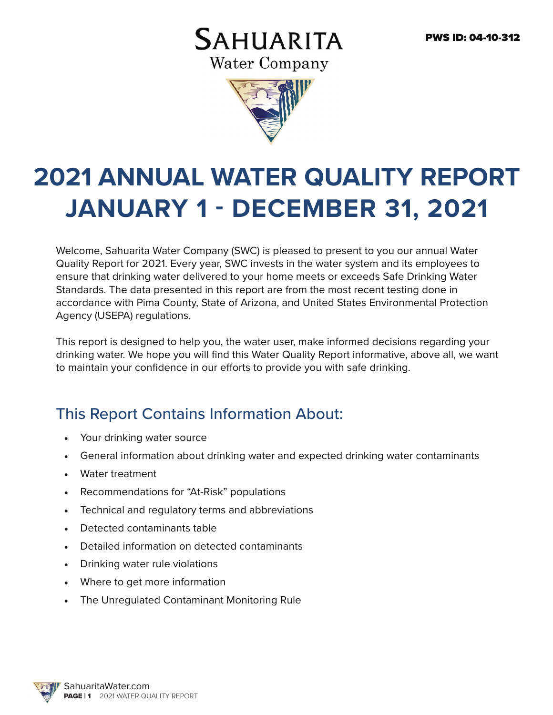## **SAHUARITA Water Company**



# **2021 ANNUAL WATER QUALITY REPORT JANUARY 1 - DECEMBER 31, 2021**

Welcome, Sahuarita Water Company (SWC) is pleased to present to you our annual Water Quality Report for 2021. Every year, SWC invests in the water system and its employees to ensure that drinking water delivered to your home meets or exceeds Safe Drinking Water Standards. The data presented in this report are from the most recent testing done in accordance with Pima County, State of Arizona, and United States Environmental Protection Agency (USEPA) regulations.

This report is designed to help you, the water user, make informed decisions regarding your drinking water. We hope you will find this Water Quality Report informative, above all, we want to maintain your confidence in our efforts to provide you with safe drinking.

#### This Report Contains Information About:

- Your drinking water source
- General information about drinking water and expected drinking water contaminants
- Water treatment
- Recommendations for "At-Risk" populations
- Technical and regulatory terms and abbreviations
- Detected contaminants table
- Detailed information on detected contaminants
- Drinking water rule violations
- Where to get more information
- The Unregulated Contaminant Monitoring Rule

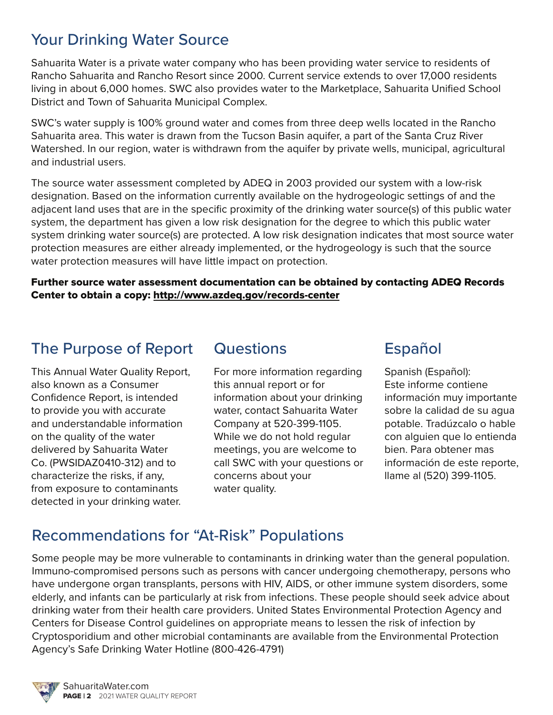#### Your Drinking Water Source

Sahuarita Water is a private water company who has been providing water service to residents of Rancho Sahuarita and Rancho Resort since 2000. Current service extends to over 17,000 residents living in about 6,000 homes. SWC also provides water to the Marketplace, Sahuarita Unified School District and Town of Sahuarita Municipal Complex.

SWC's water supply is 100% ground water and comes from three deep wells located in the Rancho Sahuarita area. This water is drawn from the Tucson Basin aquifer, a part of the Santa Cruz River Watershed. In our region, water is withdrawn from the aquifer by private wells, municipal, agricultural and industrial users.

The source water assessment completed by ADEQ in 2003 provided our system with a low-risk designation. Based on the information currently available on the hydrogeologic settings of and the adjacent land uses that are in the specific proximity of the drinking water source(s) of this public water system, the department has given a low risk designation for the degree to which this public water system drinking water source(s) are protected. A low risk designation indicates that most source water protection measures are either already implemented, or the hydrogeology is such that the source water protection measures will have little impact on protection.

Further source water assessment documentation can be obtained by contacting ADEQ Records Center to obtain a copy: http://www.azdeq.gov/records-center

#### The Purpose of Report

This Annual Water Quality Report, also known as a Consumer Confidence Report, is intended to provide you with accurate and understandable information on the quality of the water delivered by Sahuarita Water Co. (PWSIDAZ0410-312) and to characterize the risks, if any, from exposure to contaminants detected in your drinking water.

#### **Questions**

For more information regarding this annual report or for information about your drinking water, contact Sahuarita Water Company at 520-399-1105. While we do not hold regular meetings, you are welcome to call SWC with your questions or concerns about your water quality.

#### Español

Spanish (Español): Este informe contiene información muy importante sobre la calidad de su agua potable. Tradúzcalo o hable con alguien que lo entienda bien. Para obtener mas información de este reporte, llame al (520) 399-1105.

#### Recommendations for "At-Risk" Populations

Some people may be more vulnerable to contaminants in drinking water than the general population. Immuno-compromised persons such as persons with cancer undergoing chemotherapy, persons who have undergone organ transplants, persons with HIV, AIDS, or other immune system disorders, some elderly, and infants can be particularly at risk from infections. These people should seek advice about drinking water from their health care providers. United States Environmental Protection Agency and Centers for Disease Control guidelines on appropriate means to lessen the risk of infection by Cryptosporidium and other microbial contaminants are available from the Environmental Protection Agency's Safe Drinking Water Hotline (800-426-4791)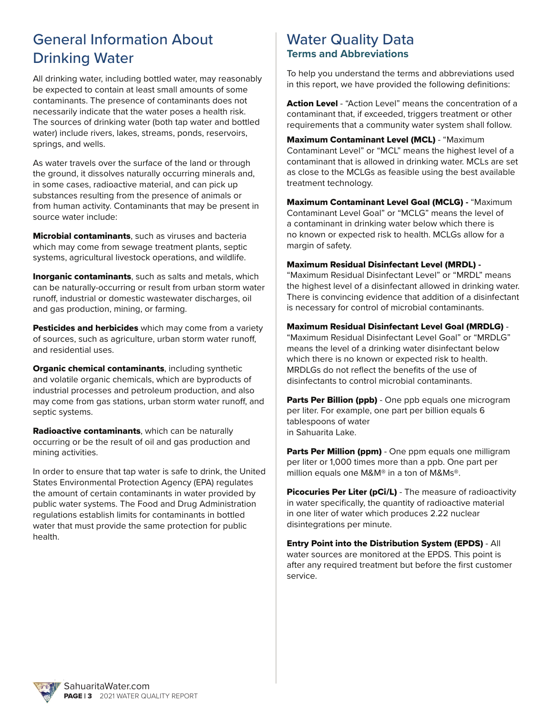#### General Information About Drinking Water

All drinking water, including bottled water, may reasonably be expected to contain at least small amounts of some contaminants. The presence of contaminants does not necessarily indicate that the water poses a health risk. The sources of drinking water (both tap water and bottled water) include rivers, lakes, streams, ponds, reservoirs, springs, and wells.

As water travels over the surface of the land or through the ground, it dissolves naturally occurring minerals and, in some cases, radioactive material, and can pick up substances resulting from the presence of animals or from human activity. Contaminants that may be present in source water include:

**Microbial contaminants**, such as viruses and bacteria which may come from sewage treatment plants, septic systems, agricultural livestock operations, and wildlife.

**Inorganic contaminants, such as salts and metals, which** can be naturally-occurring or result from urban storm water runoff, industrial or domestic wastewater discharges, oil and gas production, mining, or farming.

Pesticides and herbicides which may come from a variety of sources, such as agriculture, urban storm water runoff, and residential uses.

**Organic chemical contaminants, including synthetic** and volatile organic chemicals, which are byproducts of industrial processes and petroleum production, and also may come from gas stations, urban storm water runoff, and septic systems.

Radioactive contaminants, which can be naturally occurring or be the result of oil and gas production and mining activities.

In order to ensure that tap water is safe to drink, the United States Environmental Protection Agency (EPA) regulates the amount of certain contaminants in water provided by public water systems. The Food and Drug Administration regulations establish limits for contaminants in bottled water that must provide the same protection for public health.

#### Water Quality Data **Terms and Abbreviations**

To help you understand the terms and abbreviations used in this report, we have provided the following definitions:

Action Level - "Action Level" means the concentration of a contaminant that, if exceeded, triggers treatment or other requirements that a community water system shall follow.

Maximum Contaminant Level (MCL) - "Maximum Contaminant Level" or "MCL" means the highest level of a contaminant that is allowed in drinking water. MCLs are set as close to the MCLGs as feasible using the best available treatment technology.

Maximum Contaminant Level Goal (MCLG) **-** "Maximum Contaminant Level Goal" or "MCLG" means the level of a contaminant in drinking water below which there is no known or expected risk to health. MCLGs allow for a margin of safety.

#### Maximum Residual Disinfectant Level (MRDL) **-**

"Maximum Residual Disinfectant Level" or "MRDL" means the highest level of a disinfectant allowed in drinking water. There is convincing evidence that addition of a disinfectant is necessary for control of microbial contaminants.

#### Maximum Residual Disinfectant Level Goal (MRDLG) -

"Maximum Residual Disinfectant Level Goal" or "MRDLG" means the level of a drinking water disinfectant below which there is no known or expected risk to health. MRDLGs do not reflect the benefits of the use of disinfectants to control microbial contaminants.

**Parts Per Billion (ppb)** - One ppb equals one microgram per liter. For example, one part per billion equals 6 tablespoons of water in Sahuarita Lake.

Parts Per Million (ppm) - One ppm equals one milligram per liter or 1,000 times more than a ppb. One part per million equals one M&M® in a ton of M&Ms®.

Picocuries Per Liter (pCi/L) - The measure of radioactivity in water specifically, the quantity of radioactive material in one liter of water which produces 2.22 nuclear disintegrations per minute.

Entry Point into the Distribution System (EPDS) - All water sources are monitored at the EPDS. This point is after any required treatment but before the first customer service.

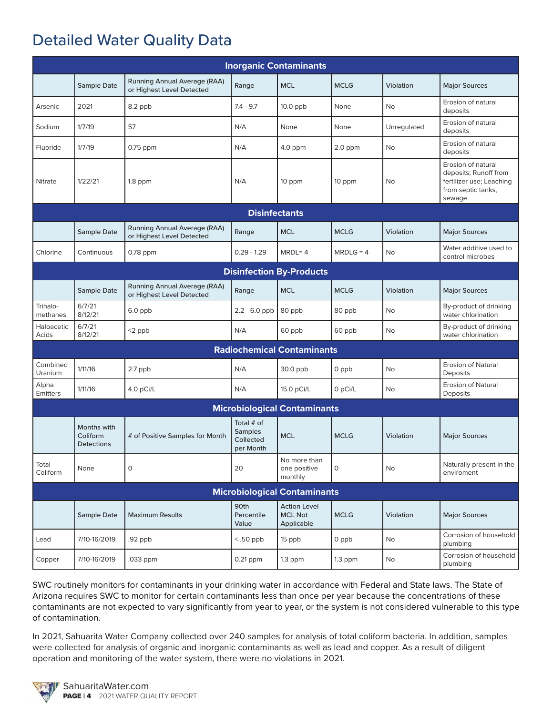#### Detailed Water Quality Data

| <b>Inorganic Contaminants</b>       |                                              |                                                           |                                                          |                                                     |              |             |                                                                                                         |  |  |  |  |
|-------------------------------------|----------------------------------------------|-----------------------------------------------------------|----------------------------------------------------------|-----------------------------------------------------|--------------|-------------|---------------------------------------------------------------------------------------------------------|--|--|--|--|
|                                     | <b>Sample Date</b>                           | Running Annual Average (RAA)<br>or Highest Level Detected | Range                                                    | <b>MCL</b>                                          | <b>MCLG</b>  | Violation   | <b>Major Sources</b>                                                                                    |  |  |  |  |
| Arsenic                             | 2021                                         | 8.2 ppb                                                   | $7.4 - 9.7$                                              | $10.0$ ppb                                          | None         | No          | Erosion of natural<br>deposits                                                                          |  |  |  |  |
| Sodium                              | 1/7/19                                       | 57                                                        | N/A                                                      | None                                                | None         | Unregulated | Erosion of natural<br>deposits                                                                          |  |  |  |  |
| Fluoride                            | 1/7/19                                       | $0.75$ ppm                                                | N/A                                                      | $4.0$ ppm                                           | $2.0$ ppm    | <b>No</b>   | Erosion of natural<br>deposits                                                                          |  |  |  |  |
| <b>Nitrate</b>                      | 1/22/21                                      | $1.8$ ppm                                                 | N/A                                                      | 10 ppm                                              | 10 ppm       | No          | Erosion of natural<br>deposits; Runoff from<br>fertilizer use; Leaching<br>from septic tanks,<br>sewage |  |  |  |  |
|                                     |                                              |                                                           | <b>Disinfectants</b>                                     |                                                     |              |             |                                                                                                         |  |  |  |  |
|                                     | Sample Date                                  | Running Annual Average (RAA)<br>or Highest Level Detected | Range                                                    | <b>MCL</b>                                          | <b>MCLG</b>  | Violation   | <b>Major Sources</b>                                                                                    |  |  |  |  |
| Chlorine                            | Continuous                                   | $0.78$ ppm                                                | $0.29 - 1.29$                                            | $MRDL = 4$                                          | $MRDLG = 4$  | No          | Water additive used to<br>control microbes                                                              |  |  |  |  |
| <b>Disinfection By-Products</b>     |                                              |                                                           |                                                          |                                                     |              |             |                                                                                                         |  |  |  |  |
|                                     | Sample Date                                  | Running Annual Average (RAA)<br>or Highest Level Detected | Range                                                    | <b>MCL</b>                                          | <b>MCLG</b>  | Violation   | <b>Major Sources</b>                                                                                    |  |  |  |  |
| Trihalo-<br>methanes                | 6/7/21<br>8/12/21                            | 6.0 ppb                                                   | $2.2 - 6.0$ ppb                                          | 80 ppb                                              | 80 ppb       | No          | By-product of drinking<br>water chlorination                                                            |  |  |  |  |
| Haloacetic<br>Acids                 | 6/7/21<br>8/12/21                            | $<$ 2 ppb                                                 | N/A                                                      | 60 ppb                                              | 60 ppb       | No          | By-product of drinking<br>water chlorination                                                            |  |  |  |  |
| <b>Radiochemical Contaminants</b>   |                                              |                                                           |                                                          |                                                     |              |             |                                                                                                         |  |  |  |  |
| Combined<br>Uranium                 | 1/11/16                                      | 2.7 ppb                                                   | N/A                                                      | 30.0 ppb                                            | 0 ppb        | No          | <b>Erosion of Natural</b><br>Deposits                                                                   |  |  |  |  |
| Alpha<br>Emitters                   | 1/11/16                                      | 4.0 pCi/L                                                 | N/A                                                      | 15.0 pCi/L                                          | 0 pCi/L      | No          | <b>Erosion of Natural</b><br>Deposits                                                                   |  |  |  |  |
| <b>Microbiological Contaminants</b> |                                              |                                                           |                                                          |                                                     |              |             |                                                                                                         |  |  |  |  |
|                                     | Months with<br>Coliform<br><b>Detections</b> | # of Positive Samples for Month                           | Total $#$ of<br><b>Samples</b><br>Collected<br>per Month | <b>MCL</b>                                          | <b>MCLG</b>  | Violation   | <b>Major Sources</b>                                                                                    |  |  |  |  |
| Total<br>Coliform                   | None                                         | $\mathsf{O}\xspace$                                       | 20                                                       | No more than<br>one positive<br>monthly             | $\mathsf{O}$ | No          | Naturally present in the<br>enviroment                                                                  |  |  |  |  |
| <b>Microbiological Contaminants</b> |                                              |                                                           |                                                          |                                                     |              |             |                                                                                                         |  |  |  |  |
|                                     | Sample Date                                  | <b>Maximum Results</b>                                    | 90th<br>Percentile<br>Value                              | <b>Action Level</b><br><b>MCL Not</b><br>Applicable | <b>MCLG</b>  | Violation   | <b>Major Sources</b>                                                                                    |  |  |  |  |
| Lead                                | 7/10-16/2019                                 | .92 ppb                                                   | $<$ .50 ppb                                              | 15 ppb                                              | 0 ppb        | No          | Corrosion of household<br>plumbing                                                                      |  |  |  |  |
| Copper                              | 7/10-16/2019                                 | .033 ppm                                                  | $0.21$ ppm                                               | $1.3$ ppm                                           | $1.3$ ppm    | No          | Corrosion of household<br>plumbing                                                                      |  |  |  |  |

SWC routinely monitors for contaminants in your drinking water in accordance with Federal and State laws. The State of Arizona requires SWC to monitor for certain contaminants less than once per year because the concentrations of these contaminants are not expected to vary significantly from year to year, or the system is not considered vulnerable to this type of contamination.

In 2021, Sahuarita Water Company collected over 240 samples for analysis of total coliform bacteria. In addition, samples were collected for analysis of organic and inorganic contaminants as well as lead and copper. As a result of diligent operation and monitoring of the water system, there were no violations in 2021.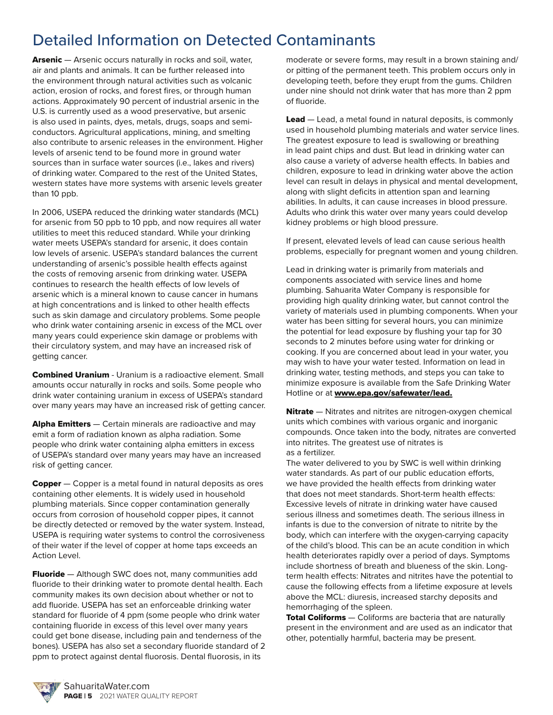### Detailed Information on Detected Contaminants

Arsenic – Arsenic occurs naturally in rocks and soil, water, air and plants and animals. It can be further released into the environment through natural activities such as volcanic action, erosion of rocks, and forest fires, or through human actions. Approximately 90 percent of industrial arsenic in the U.S. is currently used as a wood preservative, but arsenic is also used in paints, dyes, metals, drugs, soaps and semiconductors. Agricultural applications, mining, and smelting also contribute to arsenic releases in the environment. Higher levels of arsenic tend to be found more in ground water sources than in surface water sources (i.e., lakes and rivers) of drinking water. Compared to the rest of the United States, western states have more systems with arsenic levels greater than 10 ppb.

In 2006, USEPA reduced the drinking water standards (MCL) for arsenic from 50 ppb to 10 ppb, and now requires all water utilities to meet this reduced standard. While your drinking water meets USEPA's standard for arsenic, it does contain low levels of arsenic. USEPA's standard balances the current understanding of arsenic's possible health effects against the costs of removing arsenic from drinking water. USEPA continues to research the health effects of low levels of arsenic which is a mineral known to cause cancer in humans at high concentrations and is linked to other health effects such as skin damage and circulatory problems. Some people who drink water containing arsenic in excess of the MCL over many years could experience skin damage or problems with their circulatory system, and may have an increased risk of getting cancer.

Combined Uranium - Uranium is a radioactive element. Small amounts occur naturally in rocks and soils. Some people who drink water containing uranium in excess of USEPA's standard over many years may have an increased risk of getting cancer.

Alpha Emitters — Certain minerals are radioactive and may emit a form of radiation known as alpha radiation. Some people who drink water containing alpha emitters in excess of USEPA's standard over many years may have an increased risk of getting cancer.

Copper – Copper is a metal found in natural deposits as ores containing other elements. It is widely used in household plumbing materials. Since copper contamination generally occurs from corrosion of household copper pipes, it cannot be directly detected or removed by the water system. Instead, USEPA is requiring water systems to control the corrosiveness of their water if the level of copper at home taps exceeds an Action Level.

**Fluoride** — Although SWC does not, many communities add fluoride to their drinking water to promote dental health. Each community makes its own decision about whether or not to add fluoride. USEPA has set an enforceable drinking water standard for fluoride of 4 ppm (some people who drink water containing fluoride in excess of this level over many years could get bone disease, including pain and tenderness of the bones). USEPA has also set a secondary fluoride standard of 2 ppm to protect against dental fluorosis. Dental fluorosis, in its

moderate or severe forms, may result in a brown staining and/ or pitting of the permanent teeth. This problem occurs only in developing teeth, before they erupt from the gums. Children under nine should not drink water that has more than 2 ppm of fluoride.

Lead – Lead, a metal found in natural deposits, is commonly used in household plumbing materials and water service lines. The greatest exposure to lead is swallowing or breathing in lead paint chips and dust. But lead in drinking water can also cause a variety of adverse health effects. In babies and children, exposure to lead in drinking water above the action level can result in delays in physical and mental development, along with slight deficits in attention span and learning abilities. In adults, it can cause increases in blood pressure. Adults who drink this water over many years could develop kidney problems or high blood pressure.

If present, elevated levels of lead can cause serious health problems, especially for pregnant women and young children.

Lead in drinking water is primarily from materials and components associated with service lines and home plumbing. Sahuarita Water Company is responsible for providing high quality drinking water, but cannot control the variety of materials used in plumbing components. When your water has been sitting for several hours, you can minimize the potential for lead exposure by flushing your tap for 30 seconds to 2 minutes before using water for drinking or cooking. If you are concerned about lead in your water, you may wish to have your water tested. Information on lead in drinking water, testing methods, and steps you can take to minimize exposure is available from the Safe Drinking Water Hotline or at www.epa.gov/safewater/lead.

Nitrate - Nitrates and nitrites are nitrogen-oxygen chemical units which combines with various organic and inorganic compounds. Once taken into the body, nitrates are converted into nitrites. The greatest use of nitrates is as a fertilizer.

The water delivered to you by SWC is well within drinking water standards. As part of our public education efforts, we have provided the health effects from drinking water that does not meet standards. Short-term health effects: Excessive levels of nitrate in drinking water have caused serious illness and sometimes death. The serious illness in infants is due to the conversion of nitrate to nitrite by the body, which can interfere with the oxygen-carrying capacity of the child's blood. This can be an acute condition in which health deteriorates rapidly over a period of days. Symptoms include shortness of breath and blueness of the skin. Longterm health effects: Nitrates and nitrites have the potential to cause the following effects from a lifetime exposure at levels above the MCL: diuresis, increased starchy deposits and hemorrhaging of the spleen.

**Total Coliforms** — Coliforms are bacteria that are naturally present in the environment and are used as an indicator that other, potentially harmful, bacteria may be present.